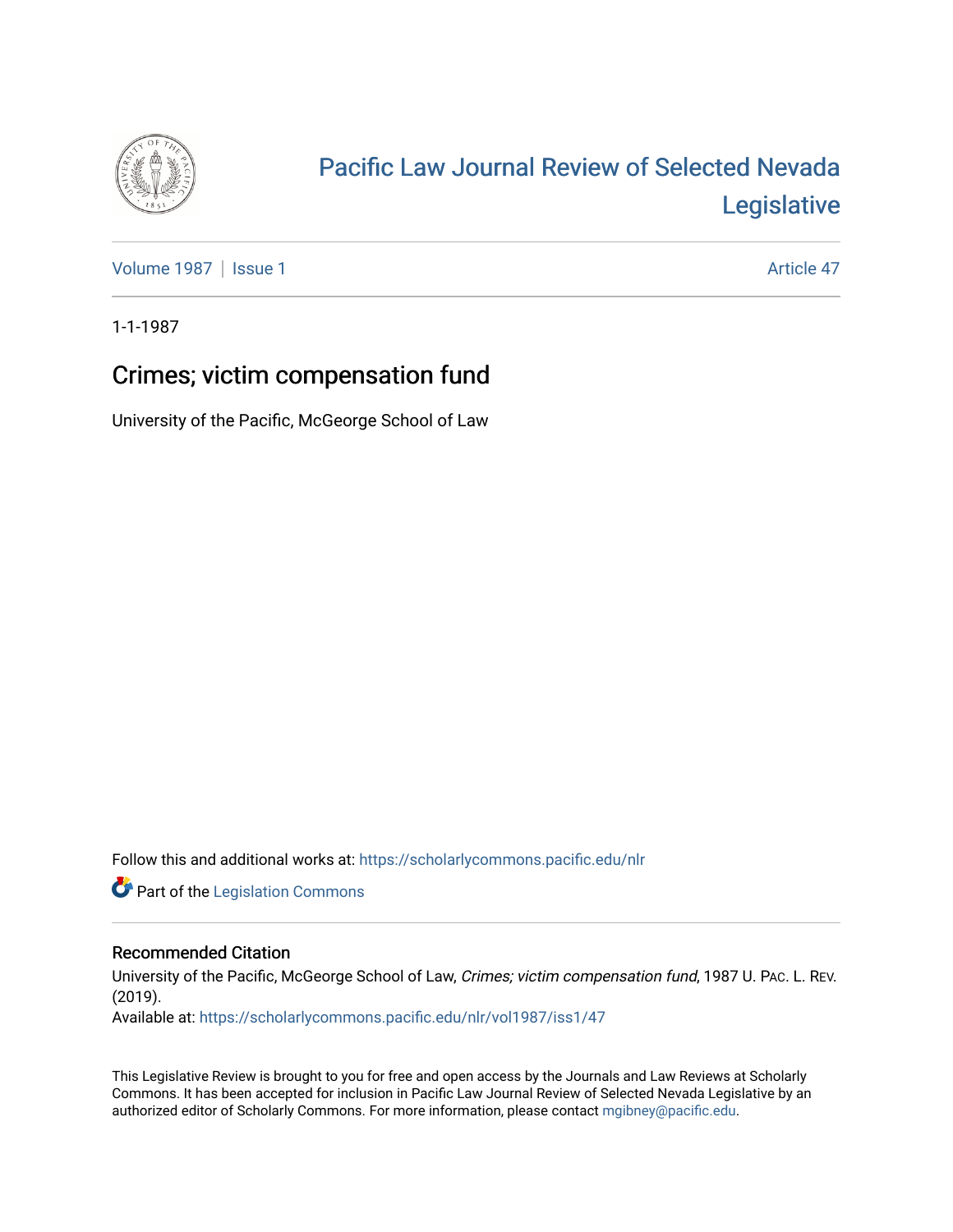

## [Pacific Law Journal Review of Selected Nevada](https://scholarlycommons.pacific.edu/nlr)  [Legislative](https://scholarlycommons.pacific.edu/nlr)

[Volume 1987](https://scholarlycommons.pacific.edu/nlr/vol1987) | [Issue 1](https://scholarlycommons.pacific.edu/nlr/vol1987/iss1) Article 47

1-1-1987

## Crimes; victim compensation fund

University of the Pacific, McGeorge School of Law

Follow this and additional works at: [https://scholarlycommons.pacific.edu/nlr](https://scholarlycommons.pacific.edu/nlr?utm_source=scholarlycommons.pacific.edu%2Fnlr%2Fvol1987%2Fiss1%2F47&utm_medium=PDF&utm_campaign=PDFCoverPages) 

**Part of the [Legislation Commons](http://network.bepress.com/hgg/discipline/859?utm_source=scholarlycommons.pacific.edu%2Fnlr%2Fvol1987%2Fiss1%2F47&utm_medium=PDF&utm_campaign=PDFCoverPages)** 

## Recommended Citation

University of the Pacific, McGeorge School of Law, Crimes; victim compensation fund, 1987 U. PAc. L. REV. (2019).

Available at: [https://scholarlycommons.pacific.edu/nlr/vol1987/iss1/47](https://scholarlycommons.pacific.edu/nlr/vol1987/iss1/47?utm_source=scholarlycommons.pacific.edu%2Fnlr%2Fvol1987%2Fiss1%2F47&utm_medium=PDF&utm_campaign=PDFCoverPages)

This Legislative Review is brought to you for free and open access by the Journals and Law Reviews at Scholarly Commons. It has been accepted for inclusion in Pacific Law Journal Review of Selected Nevada Legislative by an authorized editor of Scholarly Commons. For more information, please contact [mgibney@pacific.edu](mailto:mgibney@pacific.edu).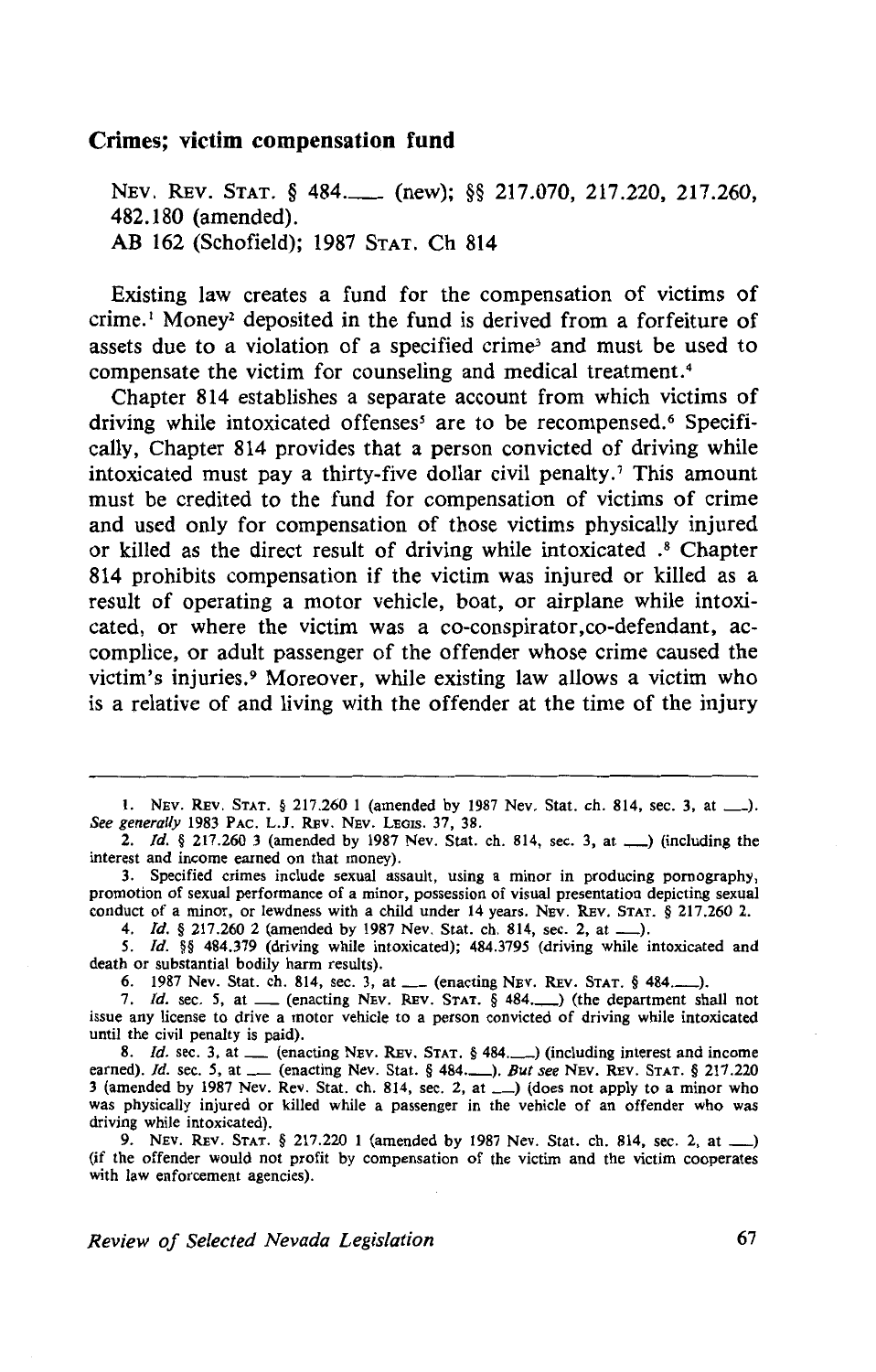## **Crimes; victim compensation fund**

NEV. REV. STAT. § 484. (new); §§ 217.070, 217.220, 217.260, 482.180 (amended). AB 162 (Schofield); 1987 STAT. Ch 814

Existing law creates a fund for the compensation of victims of crime.<sup>1</sup> Money<sup>2</sup> deposited in the fund is derived from a forfeiture of assets due to a violation of a specified crime<sup>3</sup> and must be used to compensate the victim for counseling and medical treatment. 4

Chapter 814 establishes a separate account from which victims of driving while intoxicated offenses<sup>5</sup> are to be recompensed.<sup>6</sup> Specifically, Chapter 814 provides that a person convicted of driving while intoxicated must pay a thirty-five dollar civil penalty.<sup> $\tau$ </sup> This amount must be credited to the fund for compensation of victims of crime and used only for compensation of those victims physically injured or killed as the direct result of driving while intoxicated . 8 Chapter 814 prohibits compensation if the victim was injured or killed as a result of operating a motor vehicle, boat, or airplane while intoxicated, or where the victim was a co-conspirator, co-defendant, accomplice, or adult passenger of the offender whose crime caused the victim's injuries.9 Moreover, while existing law allows a victim who is a relative of and living with the offender at the time of the injury

I. NEv. REv. STAT. § 217.260 1 (amended by 1987 Nev. Stat. ch. 814, sec. 3, at \_). *See generally* 1983 PAc. L.J. REv. NEv. LEGIS. 37, 38.

2. Id.  $\S 217.260$  3 (amended by 1987 Nev. Stat. ch. 814, sec. 3, at  $\Box$ ) (including the interest and income earned on that money).

3. Specified crimes include sexual assault, using a minor in producing pornography, promotion of sexual performance of a minor, possession of visual presentation depicting sexual conduct of a minor, or lewdness with a child under 14 years. NEV. REv. STAT. § 217.260 2.

4. /d. § 217.260 2 (amended by 1987 Nev. Stat. ch. 814, sec. 2, at\_).

*S. /d.* §§ 484.379 (driving while intoxicated); 484.3795 (driving while intoxicated and death or substantial bodily harm results).

6. 1987 Nev. Stat. ch. 814, sec. 3, at \_\_ (enacting NEV. REV. STAT. § 484...........).

7. */d.* sec. *S,* at \_ (enacting NEv. REv. STAT. § 484.\_) (the department shall not issue any license to drive a motor vehicle to a person convicted of driving while intoxicated until the civil penalty is paid).

8. *Id.* sec. 3, at \_\_ (enacting Nev. REV. STAT. § 484.\_\_) (including interest and income earned). *Id.* sec. 5, at \_\_ (enacting Nev. Stat. § 484.\_\_). *But see* Nev. REV. STAT. § 217.220 3 (amended by 1987 Nev. Rev. Stat. ch. 814, sec. 2, at  $\Box$ ) (does not apply to a minor who was physically injured or killed while a passenger in the vehicle of an offender who was driving while intoxicated).

9. Nev. Rev. Stat. § 217.220 1 (amended by 1987 Nev. Stat. ch. 814, sec. 2, at \_) (if the offender would not profit by compensation of the victim and the victim cooperates with law enforcement agencies).

*Review of Selected Nevada Legislation* 67